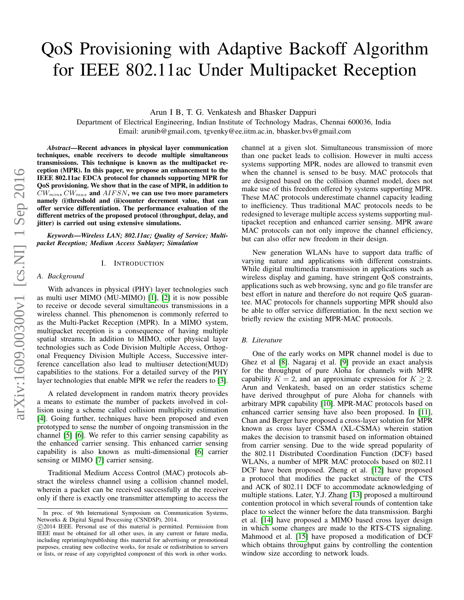# QoS Provisioning with Adaptive Backoff Algorithm for IEEE 802.11ac Under Multipacket Reception

Arun I B, T. G. Venkatesh and Bhasker Dappuri

Department of Electrical Engineering, Indian Institute of Technology Madras, Chennai 600036, India Email: arunib@gmail.com, tgvenky@ee.iitm.ac.in, bhasker.bvs@gmail.com

*Abstract*—Recent advances in physical layer communication techniques, enable receivers to decode multiple simultaneous transmissions. This technique is known as the multipacket reception (MPR). In this paper, we propose an enhancement to the IEEE 802.11ac EDCA protocol for channels supporting MPR for QoS provisioning. We show that in the case of MPR, in addition to  $CW_{min}$ ,  $CW_{max}$  and  $AIFSN$ , we can use two more parameters namely (i)threshold and (ii)counter decrement value, that can offer service differentiation. The performance evaluation of the different metrics of the proposed protocol (throughput, delay, and jitter) is carried out using extensive simulations.

*Keywords*—*Wireless LAN; 802.11ac; Quality of Service; Multipacket Reception; Medium Access Sublayer; Simulation*

#### I. INTRODUCTION

### *A. Background*

With advances in physical (PHY) layer technologies such as multi user MIMO (MU-MIMO) [\[1\]](#page-4-0), [\[2\]](#page-4-1) it is now possible to receive or decode several simultaneous transmissions in a wireless channel. This phenomenon is commonly referred to as the Multi-Packet Reception (MPR). In a MIMO system, multipacket reception is a consequence of having multiple spatial streams. In addition to MIMO, other physical layer technologies such as Code Division Multiple Access, Orthogonal Frequency Division Multiple Access, Successive interference cancellation also lead to multiuser detection(MUD) capabilities to the stations. For a detailed survey of the PHY layer technologies that enable MPR we refer the readers to [\[3\]](#page-4-2).

A related development in random matrix theory provides a means to estimate the number of packets involved in collision using a scheme called collision multiplicity estimation [\[4\]](#page-4-3). Going further, techniques have been proposed and even prototyped to sense the number of ongoing transmission in the channel [\[5\]](#page-4-4) [\[6\]](#page-4-5). We refer to this carrier sensing capability as the enhanced carrier sensing. This enhanced carrier sensing capability is also known as multi-dimensional [\[6\]](#page-4-5) carrier sensing or MIMO [\[7\]](#page-4-6) carrier sensing.

Traditional Medium Access Control (MAC) protocols abstract the wireless channel using a collision channel model, wherein a packet can be received successfully at the receiver only if there is exactly one transmitter attempting to access the channel at a given slot. Simultaneous transmission of more than one packet leads to collision. However in multi access systems supporting MPR, nodes are allowed to transmit even when the channel is sensed to be busy. MAC protocols that are designed based on the collision channel model, does not make use of this freedom offered by systems supporting MPR. These MAC protocols underestimate channel capacity leading to inefficiency. Thus traditional MAC protocols needs to be redesigned to leverage multiple access systems supporting multipacket reception and enhanced carrier sensing. MPR aware MAC protocols can not only improve the channel efficiency, but can also offer new freedom in their design.

New generation WLANs have to support data traffic of varying nature and applications with different constraints. While digital multimedia transmission in applications such as wireless display and gaming, have stringent QoS constraints, applications such as web browsing, sync and go file transfer are best effort in nature and therefore do not require QoS guarantee. MAC protocols for channels supporting MPR should also be able to offer service differentiation. In the next section we briefly review the existing MPR-MAC protocols.

# *B. Literature*

One of the early works on MPR channel model is due to Ghez et al [\[8\]](#page-4-7). Nagaraj et al. [\[9\]](#page-4-8) provide an exact analysis for the throughput of pure Aloha for channels with MPR capability  $K = 2$ , and an approximate expression for  $K \geq 2$ . Arun and Venkatesh, based on an order statistics scheme have derived throughput of pure Aloha for channels with arbitrary MPR capability [\[10\]](#page-4-9). MPR-MAC protocols based on enhanced carrier sensing have also been proposed. In [\[11\]](#page-4-10), Chan and Berger have proposed a cross-layer solution for MPR known as cross layer CSMA (XL-CSMA) wherein station makes the decision to transmit based on information obtained from carrier sensing. Due to the wide spread popularity of the 802.11 Distributed Coordination Function (DCF) based WLANs, a number of MPR MAC protocols based on 802.11 DCF have been proposed. Zheng et al. [\[12\]](#page-4-11) have proposed a protocol that modifies the packet structure of the CTS and ACK of 802.11 DCF to accommodate acknowledging of multiple stations. Later, Y.J. Zhang [\[13\]](#page-4-12) proposed a multiround contention protocol in which several rounds of contention take place to select the winner before the data transmission. Barghi et al. [\[14\]](#page-4-13) have proposed a MIMO based cross layer design in which some changes are made to the RTS-CTS signaling. Mahmood et al. [\[15\]](#page-4-14) have proposed a modification of DCF which obtains throughput gains by controlling the contention window size according to network loads.

In proc. of 9th International Symposium on Communication Systems, Networks & Digital Signal Processing (CSNDSP), 2014.

c 2014 IEEE. Personal use of this material is permitted. Permission from IEEE must be obtained for all other uses, in any current or future media, including reprinting/republishing this material for advertising or promotional purposes, creating new collective works, for resale or redistribution to servers or lists, or reuse of any copyrighted component of this work in other works.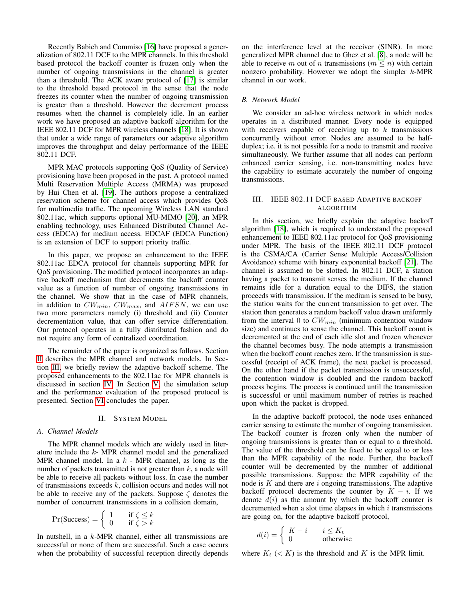Recently Babich and Commiso [\[16\]](#page-4-15) have proposed a generalization of 802.11 DCF to the MPR channels. In this threshold based protocol the backoff counter is frozen only when the number of ongoing transmissions in the channel is greater than a threshold. The ACK aware protocol of [\[17\]](#page-4-16) is similar to the threshold based protocol in the sense that the node freezes its counter when the number of ongoing transmission is greater than a threshold. However the decrement process resumes when the channel is completely idle. In an earlier work we have proposed an adaptive backoff algorithm for the IEEE 802.11 DCF for MPR wireless channels [\[18\]](#page-4-17). It is shown that under a wide range of parameters our adaptive algorithm improves the throughput and delay performance of the IEEE 802.11 DCF.

MPR MAC protocols supporting QoS (Quality of Service) provisioning have been proposed in the past. A protocol named Multi Reservation Multiple Access (MRMA) was proposed by Hui Chen et al. [\[19\]](#page-4-18). The authors propose a centralized reservation scheme for channel access which provides QoS for multimedia traffic. The upcoming Wireless LAN standard 802.11ac, which supports optional MU-MIMO [\[20\]](#page-4-19), an MPR enabling technology, uses Enhanced Distributed Channel Access (EDCA) for medium access. EDCAF (EDCA Function) is an extension of DCF to support priority traffic.

In this paper, we propose an enhancement to the IEEE 802.11ac EDCA protocol for channels supporting MPR for QoS provisioning. The modified protocol incorporates an adaptive backoff mechanism that decrements the backoff counter value as a function of number of ongoing transmissions in the channel. We show that in the case of MPR channels, in addition to  $CW_{min}$ ,  $CW_{max}$ , and  $AIFSN$ , we can use two more parameters namely (i) threshold and (ii) Counter decrementation value, that can offer service differentiation. Our protocol operates in a fully distributed fashion and do not require any form of centralized coordination.

The remainder of the paper is organized as follows. Section [II](#page-1-0) describes the MPR channel and network models. In Section [III,](#page-1-1) we briefly review the adaptive backoff scheme. The proposed enhancements to the 802.11ac for MPR channels is discussed in section [IV.](#page-2-0) In Section [V,](#page-2-1) the simulation setup and the performance evaluation of the proposed protocol is presented. Section [VI](#page-4-20) concludes the paper.

### II. SYSTEM MODEL

#### <span id="page-1-0"></span>*A. Channel Models*

The MPR channel models which are widely used in literature include the k- MPR channel model and the generalized MPR channel model. In a  $k$  - MPR channel, as long as the number of packets transmitted is not greater than  $k$ , a node will be able to receive all packets without loss. In case the number of transmissions exceeds k, collision occurs and nodes will not be able to receive any of the packets. Suppose  $\zeta$  denotes the number of concurrent transmissions in a collision domain,

$$
\Pr(\text{Success}) = \begin{cases} 1 & \text{if } \zeta \le k \\ 0 & \text{if } \zeta > k \end{cases}
$$

In nutshell, in a  $k$ -MPR channel, either all transmissions are successful or none of them are successful. Such a case occurs when the probability of successful reception directly depends on the interference level at the receiver (SINR). In more generalized MPR channel due to Ghez et al. [\[8\]](#page-4-7), a node will be able to receive m out of n transmissions ( $m \le n$ ) with certain nonzero probability. However we adopt the simpler  $k$ -MPR channel in our work.

### *B. Network Model*

We consider an ad-hoc wireless network in which nodes operates in a distributed manner. Every node is equipped with receivers capable of receiving up to  $k$  transmissions concurrently without error. Nodes are assumed to be halfduplex; i.e. it is not possible for a node to transmit and receive simultaneously. We further assume that all nodes can perform enhanced carrier sensing, i.e. non-transmitting nodes have the capability to estimate accurately the number of ongoing transmissions.

## <span id="page-1-1"></span>III. IEEE 802.11 DCF BASED ADAPTIVE BACKOFF ALGORITHM

In this section, we briefly explain the adaptive backoff algorithm [\[18\]](#page-4-17), which is required to understand the proposed enhancement to IEEE 802.11ac protocol for QoS provisioning under MPR. The basis of the IEEE 802.11 DCF protocol is the CSMA/CA (Carrier Sense Multiple Access/Collision Avoidance) scheme with binary exponential backoff [\[21\]](#page-4-21). The channel is assumed to be slotted. In 802.11 DCF, a station having a packet to transmit senses the medium. If the channel remains idle for a duration equal to the DIFS, the station proceeds with transmission. If the medium is sensed to be busy, the station waits for the current transmission to get over. The station then generates a random backoff value drawn uniformly from the interval 0 to  $CW_{min}$  (minimum contention window size) and continues to sense the channel. This backoff count is decremented at the end of each idle slot and frozen whenever the channel becomes busy. The node attempts a transmission when the backoff count reaches zero. If the transmission is successful (receipt of ACK frame), the next packet is processed. On the other hand if the packet transmission is unsuccessful, the contention window is doubled and the random backoff process begins. The process is continued until the transmission is successful or until maximum number of retries is reached upon which the packet is dropped.

In the adaptive backoff protocol, the node uses enhanced carrier sensing to estimate the number of ongoing transmission. The backoff counter is frozen only when the number of ongoing transmissions is greater than or equal to a threshold. The value of the threshold can be fixed to be equal to or less than the MPR capability of the node. Further, the backoff counter will be decremented by the number of additional possible transmissions. Suppose the MPR capability of the node is  $K$  and there are  $i$  ongoing transmissions. The adaptive backoff protocol decrements the counter by  $K - i$ . If we denote  $d(i)$  as the amount by which the backoff counter is decremented when a slot time elapses in which  $i$  transmissions are going on, for the adaptive backoff protocol,

$$
d(i) = \begin{cases} K - i & i \le K_t \\ 0 & \text{otherwise} \end{cases}
$$

where  $K_t \ll K$ ) is the threshold and K is the MPR limit.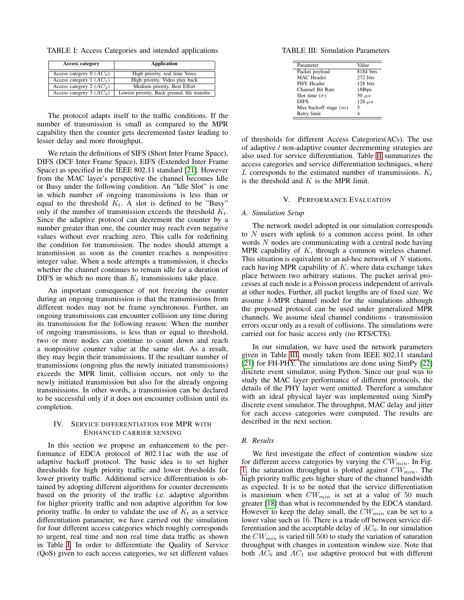<span id="page-2-2"></span>TABLE I: Access Categories and intended applications

| <b>Access category</b>     | <b>Application</b>                          |
|----------------------------|---------------------------------------------|
| Access category 0 $(AC0)$  | High priority, real time Voice              |
| Access category 1 $(AC_1)$ | High priority, Video play back              |
| Access category 2 $(AC2)$  | Medium priority, Best Effort                |
| Access category 3 $(AC_3)$ | Lowest priority, Back ground, file transfer |

The protocol adapts itself to the traffic conditions. If the number of transmission is small as compared to the MPR capability then the counter gets decremented faster leading to lesser delay and more throughput.

We retain the definitions of SIFS (Short Inter Frame Space), DIFS (DCF Inter Frame Space), EIFS (Extended Inter Frame Space) as specified in the IEEE 802.11 standard [\[21\]](#page-4-21). However from the MAC layer's perspective the channel becomes Idle or Busy under the following condition. An "Idle Slot" is one in which number of ongoing transmissions is less than or equal to the threshold  $K_t$ . A slot is defined to be "Busy" only if the number of transmission exceeds the threshold  $K_t$ . Since the adaptive protocol can decrement the counter by a number greater than one, the counter may reach even negative values without ever reaching zero. This calls for redefining the condition for transmission. The nodes should attempt a transmission as soon as the counter reaches a nonpositive integer value. When a node attempts a transmission, it checks whether the channel continues to remain idle for a duration of DIFS in which no more than  $K_t$  transmissions take place.

An important consequence of not freezing the counter during an ongoing transmission is that the transmissions from different nodes may not be frame synchronous. Further, an ongoing transmissions can encounter collision any time during its transmission for the following reason: When the number of ongoing transmissions, is less than or equal to threshold, two or more nodes can continue to count down and reach a nonpositive counter value at the same slot. As a result, they may begin their transmissions. If the resultant number of transmissions (ongoing plus the newly initiated transmissions) exceeds the MPR limit, collision occurs, not only to the newly initiated transmission but also for the already ongoing transmissions. In other words, a transmission can be declared to be successful only if it does not encounter collision until its completion.

# <span id="page-2-0"></span>IV. SERVICE DIFFERENTIATION FOR MPR WITH ENHANCED CARRIER SENSING

In this section we propose an enhancement to the performance of EDCA protocol of 802.11ac with the use of adaptive backoff protocol. The basic idea is to set higher thresholds for high priority traffic and lower thresholds for lower priority traffic. Additional service differentiation is obtained by adopting different algorithms for counter decrements based on the priority of the traffic i.e. adaptive algorithm for higher priority traffic and non adaptive algorithm for low priority traffic. In order to validate the use of  $K_t$  as a service differentiation parameter, we have carried out the simulation for four different access categories which roughly corresponds to urgent, real time and non real time data traffic as shown in Table [I.](#page-2-2) In order to differentiate the Quality of Service (QoS) given to each access categories, we set different values

<span id="page-2-3"></span>TABLE III: Simulation Parameters

| Parameter               | Value          |
|-------------------------|----------------|
| Packet payload          | 8184 bits      |
| MAC Header              | 272 bits       |
| PHY Header              | 128 bits       |
| Channel Bit Rate        | 1Mbps          |
| Slot time $(\sigma)$    | $50 \; \mu s$  |
| <b>DIFS</b>             | $128 \; \mu s$ |
| Max backoff stage $(m)$ | 5              |
| Retry limit             |                |

of thresholds for different Access Categories(ACs). The use of adaptive / non-adaptive counter decrementing strategies are also used for service differentiation. Table [II](#page-3-0) summarizes the access categories and service differentiation techniques, where L corresponds to the estimated number of transmissions.  $K_t$ is the threshold and  $K$  is the MPR limit.

# V. PERFORMANCE EVALUATION

### <span id="page-2-1"></span>*A. Simulation Setup*

The network model adopted in our simulation corresponds to N users with uplink to a common access point. In other words  $N$  nodes are communicating with a central node having MPR capability of  $K$ , through a common wireless channel. This situation is equivalent to an ad-hoc network of  $N$  stations, each having MPR capability of  $K$ , where data exchange takes place between two arbitrary stations. The packet arrival processes at each node is a Poisson process independent of arrivals at other nodes. Further, all packet lengths are of fixed size. We assume k-MPR channel model for the simulations although the proposed protocol can be used under generalized MPR channels. We assume ideal channel conditions - transmission errors occur only as a result of collisions. The simulations were carried out for basic access only (no RTS/CTS).

In our simulation, we have used the network parameters given in Table [III,](#page-2-3) mostly taken from IEEE 802.11 standard [\[21\]](#page-4-21) for FH-PHY. The simulations are done using SimPy [\[22\]](#page-4-22) discrete event simulator, using Python. Since our goal was to study the MAC layer performance of different protocols, the details of the PHY layer were omitted. Therefore a simulator with an ideal physical layer was implemented using SimPy discrete event simulator. The throughput, MAC delay and jitter for each access categories were computed. The results are described in the next section.

## *B. Results*

We first investigate the effect of contention window size for different access categories by varying the  $CW_{min}$ . In Fig. [1,](#page-3-1) the saturation throughput is plotted against  $CW_{min}$ . The high priority traffic gets higher share of the channel bandwidth as expected. It is to be noted that the service differentiation is maximum when  $CW_{min}$  is set at a value of 50 much greater [\[18\]](#page-4-17) than what is recommended by the EDCA standard. However to keep the delay small, the  $CW_{min}$  can be set to a lower value such as 16. There is a trade off between service differentiation and the acceptable delay of  $AC_0$ . In our simulation the  $CW_{min}$  is varied till 500 to study the variation of saturation throughput with changes in contention window size. Note that both  $AC_0$  and  $AC_1$  use adaptive protocol but with different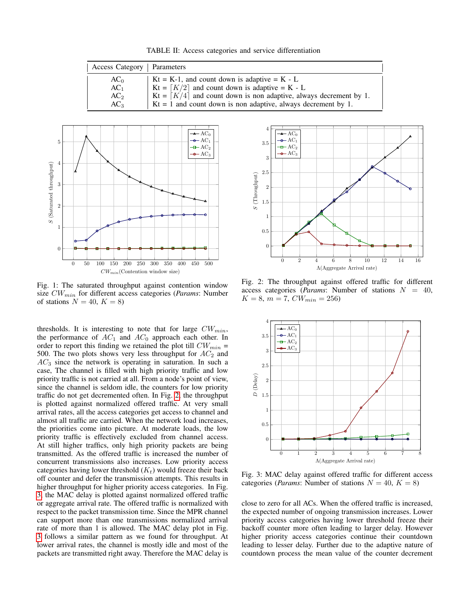TABLE II: Access categories and service differentiation

<span id="page-3-0"></span>

| Access Category   Parameters |                                                                                 |
|------------------------------|---------------------------------------------------------------------------------|
| AC <sub>0</sub>              | Kt = K-1, and count down is adaptive = K - L                                    |
| AC <sub>1</sub>              | Kt = $\lceil K/2 \rceil$ and count down is adaptive = K - L                     |
| AC <sub>2</sub>              | Kt = $\lceil K/4 \rceil$ and count down is non adaptive, always decrement by 1. |
| AC <sub>3</sub>              | $Kt = 1$ and count down is non adaptive, always decrement by 1.                 |

<span id="page-3-1"></span>

Fig. 1: The saturated throughput against contention window size CWmin for different access categories (*Params*: Number of stations  $N = 40, K = 8$ 

thresholds. It is interesting to note that for large  $CW_{min}$ , the performance of  $AC_1$  and  $AC_0$  approach each other. In order to report this finding we retained the plot till  $CW_{min} =$ 500. The two plots shows very less throughput for  $AC_2$  and  $AC_3$  since the network is operating in saturation. In such a case, The channel is filled with high priority traffic and low priority traffic is not carried at all. From a node's point of view, since the channel is seldom idle, the counters for low priority traffic do not get decremented often. In Fig. [2,](#page-3-2) the throughput is plotted against normalized offered traffic. At very small arrival rates, all the access categories get access to channel and almost all traffic are carried. When the network load increases, the priorities come into picture. At moderate loads, the low priority traffic is effectively excluded from channel access. At still higher traffics, only high priority packets are being transmitted. As the offered traffic is increased the number of concurrent transmissions also increases. Low priority access categories having lower threshold  $(K_t)$  would freeze their back off counter and defer the transmission attempts. This results in higher throughput for higher priority access categories. In Fig. [3,](#page-3-3) the MAC delay is plotted against normalized offered traffic or aggregate arrival rate. The offered traffic is normalized with respect to the packet transmission time. Since the MPR channel can support more than one transmissions normalized arrival rate of more than 1 is allowed. The MAC delay plot in Fig. [3](#page-3-3) follows a similar pattern as we found for throughput. At lower arrival rates, the channel is mostly idle and most of the packets are transmitted right away. Therefore the MAC delay is

<span id="page-3-2"></span>

Fig. 2: The throughput against offered traffic for different access categories (*Params*: Number of stations  $N = 40$ ,  $K = 8, m = 7, CW_{min} = 256$ 

<span id="page-3-3"></span>

Fig. 3: MAC delay against offered traffic for different access categories (*Params*: Number of stations  $N = 40, K = 8$ )

close to zero for all ACs. When the offered traffic is increased, the expected number of ongoing transmission increases. Lower priority access categories having lower threshold freeze their backoff counter more often leading to larger delay. However higher priority access categories continue their countdown leading to lesser delay. Further due to the adaptive nature of countdown process the mean value of the counter decrement